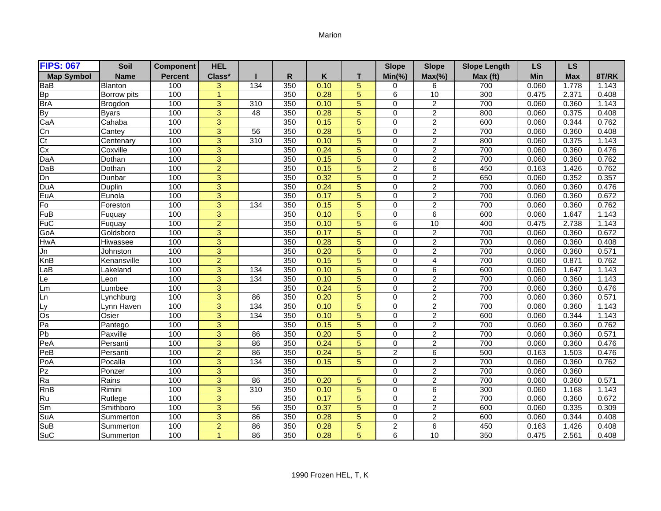## Marion

| <b>FIPS: 067</b>                              | Soil           | <b>Component</b> | <b>HEL</b>     |                  |              |      |                | <b>Slope</b>   | <b>Slope</b>    | <b>Slope Length</b> | <b>LS</b> | <b>LS</b>  |       |
|-----------------------------------------------|----------------|------------------|----------------|------------------|--------------|------|----------------|----------------|-----------------|---------------------|-----------|------------|-------|
| <b>Map Symbol</b>                             | <b>Name</b>    | <b>Percent</b>   | Class*         |                  | $\mathsf{R}$ | Κ    | т              | $Min(\% )$     | $Max(\% )$      | Max (ft)            | Min       | <b>Max</b> | 8T/RK |
| BaB                                           | <b>Blanton</b> | 100              | 3              | 134              | 350          | 0.10 | 5              | 0              | 6               | 700                 | 0.060     | 1.778      | 1.143 |
| <b>Bp</b>                                     | Borrow pits    | 100              | $\mathbf{1}$   |                  | 350          | 0.28 | 5              | 6              | 10              | 300                 | 0.475     | 2.371      | 0.408 |
| <b>BrA</b>                                    | Brogdon        | 100              | $\overline{3}$ | 310              | 350          | 0.10 | 5              | $\Omega$       | $\overline{2}$  | 700                 | 0.060     | 0.360      | 1.143 |
| <b>By</b>                                     | <b>Byars</b>   | 100              | 3              | 48               | 350          | 0.28 | 5              | $\Omega$       | $\overline{2}$  | 800                 | 0.060     | 0.375      | 0.408 |
| CaA                                           | Cahaba         | 100              | $\overline{3}$ |                  | 350          | 0.15 | 5              | 0              | $\overline{2}$  | 600                 | 0.060     | 0.344      | 0.762 |
| Cn                                            | Cantey         | 100              | 3              | 56               | 350          | 0.28 | 5              | $\Omega$       | $\overline{c}$  | 700                 | 0.060     | 0.360      | 0.408 |
| C <sub>t</sub>                                | Centenary      | 100              | $\overline{3}$ | 310              | 350          | 0.10 | 5              | $\Omega$       | $\overline{2}$  | 800                 | 0.060     | 0.375      | 1.143 |
| Cx                                            | Coxville       | 100              | $\overline{3}$ |                  | 350          | 0.24 | 5              | $\Omega$       | $\overline{2}$  | 700                 | 0.060     | 0.360      | 0.476 |
| DaA                                           | Dothan         | 100              | 3              |                  | 350          | 0.15 | 5              | $\Omega$       | $\overline{2}$  | 700                 | 0.060     | 0.360      | 0.762 |
| DaB                                           | Dothan         | 100              | $\overline{2}$ |                  | 350          | 0.15 | 5              | $\overline{2}$ | 6               | 450                 | 0.163     | 1.426      | 0.762 |
| Dn                                            | Dunbar         | 100              | 3              |                  | 350          | 0.32 | 5              | $\Omega$       | $\overline{2}$  | 650                 | 0.060     | 0.352      | 0.357 |
| DuA                                           | Duplin         | 100              | $\overline{3}$ |                  | 350          | 0.24 | $\overline{5}$ | $\Omega$       | $\overline{2}$  | 700                 | 0.060     | 0.360      | 0.476 |
| EuA                                           | Eunola         | 100              | $\overline{3}$ |                  | 350          | 0.17 | 5              | $\Omega$       | $\overline{2}$  | 700                 | 0.060     | 0.360      | 0.672 |
| Fo                                            | Foreston       | 100              | $\overline{3}$ | 134              | 350          | 0.15 | 5              | $\Omega$       | $\overline{2}$  | 700                 | 0.060     | 0.360      | 0.762 |
| FuB                                           | Fuquay         | 100              | 3              |                  | 350          | 0.10 | 5              | $\Omega$       | 6               | 600                 | 0.060     | 1.647      | 1.143 |
| $\overline{\mathsf{F} \mathsf{u} \mathsf{C}}$ | Fuguay         | 100              | $\overline{2}$ |                  | 350          | 0.10 | 5              | 6              | 10              | 400                 | 0.475     | 2.738      | 1.143 |
| GoA                                           | Goldsboro      | 100              | $\overline{3}$ |                  | 350          | 0.17 | $\overline{5}$ | $\Omega$       | $\overline{2}$  | 700                 | 0.060     | 0.360      | 0.672 |
| <b>HwA</b>                                    | Hiwassee       | 100              | $\overline{3}$ |                  | 350          | 0.28 | 5              | $\Omega$       | $\overline{2}$  | 700                 | 0.060     | 0.360      | 0.408 |
| Jn                                            | Johnston       | 100              | $\overline{3}$ |                  | 350          | 0.20 | 5              | $\Omega$       | $\overline{2}$  | 700                 | 0.060     | 0.360      | 0.571 |
| KnB                                           | Kenansville    | 100              | $\overline{2}$ |                  | 350          | 0.15 | 5              | $\Omega$       | 4               | 700                 | 0.060     | 0.871      | 0.762 |
| $La\overline{B}$                              | Lakeland       | 100              | 3              | 134              | 350          | 0.10 | 5              | $\Omega$       | 6               | 600                 | 0.060     | 1.647      | 1.143 |
| Le                                            | Leon           | 100              | $\overline{3}$ | $\overline{134}$ | 350          | 0.10 | $\overline{5}$ | $\Omega$       | $\overline{2}$  | 700                 | 0.060     | 0.360      | 1.143 |
| Lm                                            | Lumbee         | 100              | 3              |                  | 350          | 0.24 | 5              | $\Omega$       | $\overline{2}$  | 700                 | 0.060     | 0.360      | 0.476 |
| Ln                                            | Lynchburg      | 100              | $\overline{3}$ | 86               | 350          | 0.20 | 5              | $\Omega$       | $\overline{2}$  | 700                 | 0.060     | 0.360      | 0.571 |
| Ly                                            | Lynn Haven     | 100              | 3              | 134              | 350          | 0.10 | 5              | $\Omega$       | $\overline{2}$  | 700                 | 0.060     | 0.360      | 1.143 |
| Os                                            | Osier          | 100              | $\overline{3}$ | $\frac{1}{134}$  | 350          | 0.10 | 5              | $\Omega$       | $\overline{c}$  | 600                 | 0.060     | 0.344      | 1.143 |
| Pa                                            | Pantego        | 100              | 3              |                  | 350          | 0.15 | 5              | $\Omega$       | $\overline{2}$  | 700                 | 0.060     | 0.360      | 0.762 |
| Pb                                            | Paxville       | 100              | 3              | 86               | 350          | 0.20 | 5              | $\Omega$       | $\overline{c}$  | 700                 | 0.060     | 0.360      | 0.571 |
| PeA                                           | Persanti       | 100              | $\overline{3}$ | 86               | 350          | 0.24 | 5              | $\Omega$       | $\overline{2}$  | 700                 | 0.060     | 0.360      | 0.476 |
| PeB                                           | Persanti       | 100              | $\overline{2}$ | 86               | 350          | 0.24 | 5              | $\overline{2}$ | 6               | 500                 | 0.163     | 1.503      | 0.476 |
| PoA                                           | Pocalla        | 100              | $\overline{3}$ | $\overline{134}$ | 350          | 0.15 | 5              | $\mathbf 0$    | $\overline{c}$  | 700                 | 0.060     | 0.360      | 0.762 |
| PZ                                            | Ponzer         | 100              | 3              |                  | 350          |      |                | $\Omega$       | $\overline{2}$  | 700                 | 0.060     | 0.360      |       |
| Ra                                            | Rains          | 100              | $\overline{3}$ | 86               | 350          | 0.20 | 5              | $\Omega$       | $\overline{2}$  | 700                 | 0.060     | 0.360      | 0.571 |
| RnB                                           | Rimini         | 100              | $\overline{3}$ | $\overline{310}$ | 350          | 0.10 | 5              | $\Omega$       | 6               | 300                 | 0.060     | 1.168      | 1.143 |
| Ru                                            | Rutlege        | 100              | $\overline{3}$ |                  | 350          | 0.17 | 5              | 0              | 2               | 700                 | 0.060     | 0.360      | 0.672 |
| Sm                                            | Smithboro      | 100              | $\overline{3}$ | 56               | 350          | 0.37 | 5              | 0              | 2               | 600                 | 0.060     | 0.335      | 0.309 |
| SuA                                           | Summerton      | 100              | 3              | 86               | 350          | 0.28 | 5              | $\Omega$       | 2               | 600                 | 0.060     | 0.344      | 0.408 |
| SuB                                           | Summerton      | 100              | $\overline{2}$ | 86               | 350          | 0.28 | 5              | $\overline{2}$ | 6               | 450                 | 0.163     | 1.426      | 0.408 |
| SuC                                           | Summerton      | 100              | 1              | 86               | 350          | 0.28 | 5              | 6              | $\overline{10}$ | 350                 | 0.475     | 2.561      | 0.408 |